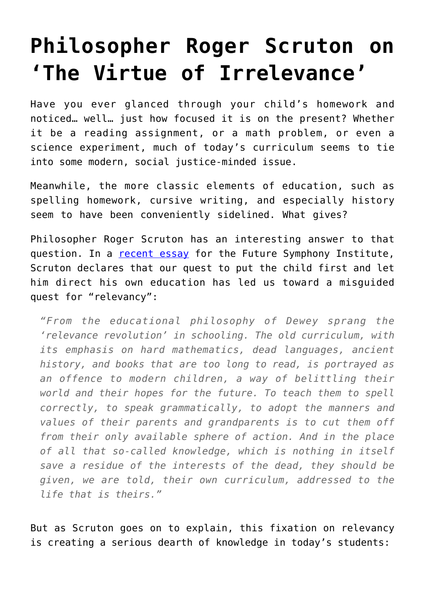## **[Philosopher Roger Scruton on](https://intellectualtakeout.org/2017/02/philosopher-roger-scruton-on-the-virtue-of-irrelevance/) ['The Virtue of Irrelevance'](https://intellectualtakeout.org/2017/02/philosopher-roger-scruton-on-the-virtue-of-irrelevance/)**

Have you ever glanced through your child's homework and noticed… well… just how focused it is on the present? Whether it be a reading assignment, or a math problem, or even a science experiment, much of today's curriculum seems to tie into some modern, social justice-minded issue.

Meanwhile, the more classic elements of education, such as spelling homework, cursive writing, and especially history seem to have been conveniently sidelined. What gives?

Philosopher Roger Scruton has an interesting answer to that question. In a [recent essay](http://www.futuresymphony.org/the-virtue-of-irrelevance/) for the Future Symphony Institute, Scruton declares that our quest to put the child first and let him direct his own education has led us toward a misguided quest for "relevancy":

*"From the educational philosophy of Dewey sprang the 'relevance revolution' in schooling. The old curriculum, with its emphasis on hard mathematics, dead languages, ancient history, and books that are too long to read, is portrayed as an offence to modern children, a way of belittling their world and their hopes for the future. To teach them to spell correctly, to speak grammatically, to adopt the manners and values of their parents and grandparents is to cut them off from their only available sphere of action. And in the place of all that so-called knowledge, which is nothing in itself save a residue of the interests of the dead, they should be given, we are told, their own curriculum, addressed to the life that is theirs."*

But as Scruton goes on to explain, this fixation on relevancy is creating a serious dearth of knowledge in today's students: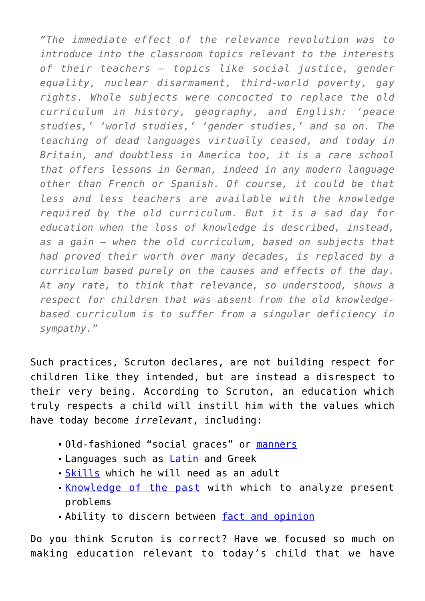*"The immediate effect of the relevance revolution was to introduce into the classroom topics relevant to the interests of their teachers – topics like social justice, gender equality, nuclear disarmament, third-world poverty, gay rights. Whole subjects were concocted to replace the old curriculum in history, geography, and English: 'peace studies,' 'world studies,' 'gender studies,' and so on. The teaching of dead languages virtually ceased, and today in Britain, and doubtless in America too, it is a rare school that offers lessons in German, indeed in any modern language other than French or Spanish. Of course, it could be that less and less teachers are available with the knowledge required by the old curriculum. But it is a sad day for education when the loss of knowledge is described, instead, as a gain – when the old curriculum, based on subjects that had proved their worth over many decades, is replaced by a curriculum based purely on the causes and effects of the day. At any rate, to think that relevance, so understood, shows a respect for children that was absent from the old knowledgebased curriculum is to suffer from a singular deficiency in sympathy."*

Such practices, Scruton declares, are not building respect for children like they intended, but are instead a disrespect to their very being. According to Scruton, an education which truly respects a child will instill him with the values which have today become *irrelevant*, including:

- **-Old-fashioned "social graces" or [manners](https://www.intellectualtakeout.org/blog/why-dont-more-people-teach-manners)**
- Languages such as **[Latin](https://www.intellectualtakeout.org/blog/7-benefits-latin-offers-todays-students)** and Greek
- [Skills](https://www.intellectualtakeout.org/blog/adulting-school-founded-teach-millennials-how-be-adults) which he will need as an adult
- [Knowledge of the past](https://www.intellectualtakeout.org/blog/why-knowing-past-important) with which to analyze present problems
- Ability to discern between [fact and opinion](https://www.intellectualtakeout.org/blog/act-college-kids-cant-discern-between-fact-opinion)

Do you think Scruton is correct? Have we focused so much on making education relevant to today's child that we have